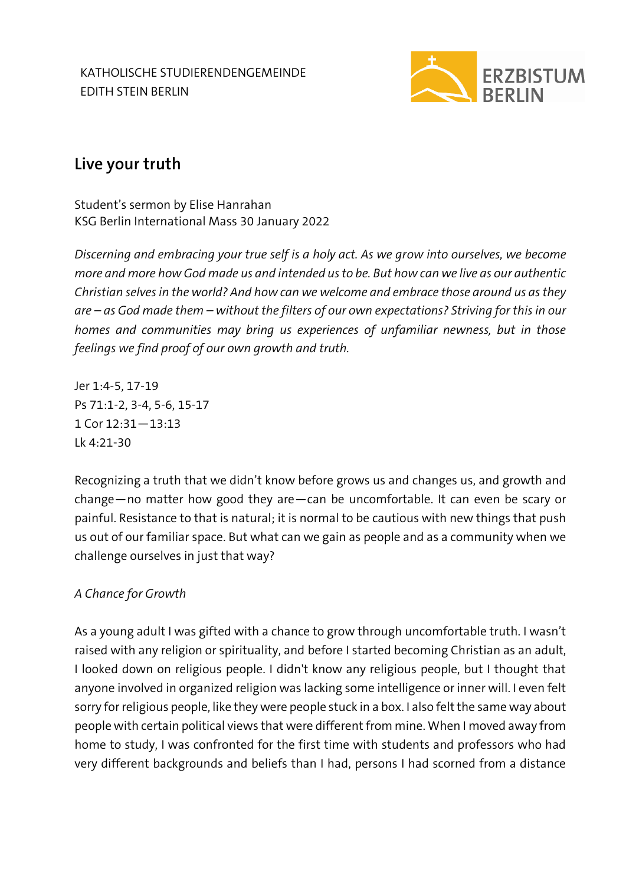KATHOLISCHE STUDIERENDENGEMEINDE EDITH STEIN BERLIN



# **Live your truth**

Student's sermon by Elise Hanrahan KSG Berlin International Mass 30 January 2022

*Discerning and embracing your true self is a holy act. As we grow into ourselves, we become more and more how God made us and intended us to be. But how can we live as our authentic Christian selves in the world? And how can we welcome and embrace those around us as they are – as God made them – without the filters of our own expectations? Striving for this in our homes and communities may bring us experiences of unfamiliar newness, but in those feelings we find proof of our own growth and truth.*

Jer 1:4-5, 17-19 Ps 71:1-2, 3-4, 5-6, 15-17 1 Cor 12:31—13:13 Lk 4:21-30

Recognizing a truth that we didn't know before grows us and changes us, and growth and change—no matter how good they are—can be uncomfortable. It can even be scary or painful. Resistance to that is natural; it is normal to be cautious with new things that push us out of our familiar space. But what can we gain as people and as a community when we challenge ourselves in just that way?

## *A Chance for Growth*

As a young adult I was gifted with a chance to grow through uncomfortable truth. I wasn't raised with any religion or spirituality, and before I started becoming Christian as an adult, I looked down on religious people. I didn't know any religious people, but I thought that anyone involved in organized religion was lacking some intelligence or inner will. I even felt sorry for religious people, like they were people stuck in a box. I also felt the same way about people with certain political views that were different from mine. When I moved away from home to study, I was confronted for the first time with students and professors who had very different backgrounds and beliefs than I had, persons I had scorned from a distance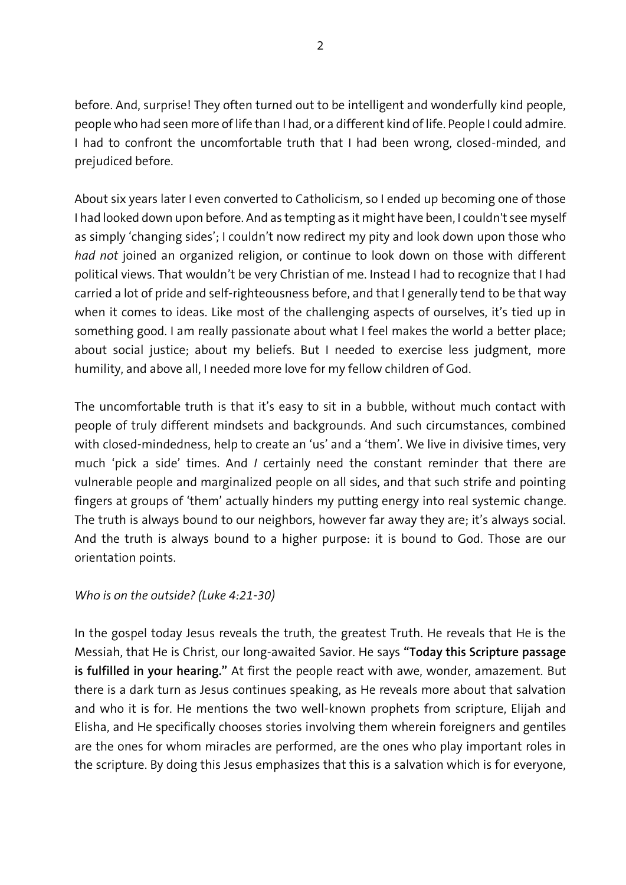before. And, surprise! They often turned out to be intelligent and wonderfully kind people, people who had seen more of life than I had, or a different kind of life. People I could admire. I had to confront the uncomfortable truth that I had been wrong, closed-minded, and prejudiced before.

About six years later I even converted to Catholicism, so I ended up becoming one of those I had looked down upon before. And as tempting as it might have been, I couldn't see myself as simply 'changing sides'; I couldn't now redirect my pity and look down upon those who *had not* joined an organized religion, or continue to look down on those with different political views. That wouldn't be very Christian of me. Instead I had to recognize that I had carried a lot of pride and self-righteousness before, and that I generally tend to be that way when it comes to ideas. Like most of the challenging aspects of ourselves, it's tied up in something good. I am really passionate about what I feel makes the world a better place; about social justice; about my beliefs. But I needed to exercise less judgment, more humility, and above all, I needed more love for my fellow children of God.

The uncomfortable truth is that it's easy to sit in a bubble, without much contact with people of truly different mindsets and backgrounds. And such circumstances, combined with closed-mindedness, help to create an 'us' and a 'them'. We live in divisive times, very much 'pick a side' times. And *I* certainly need the constant reminder that there are vulnerable people and marginalized people on all sides, and that such strife and pointing fingers at groups of 'them' actually hinders my putting energy into real systemic change. The truth is always bound to our neighbors, however far away they are; it's always social. And the truth is always bound to a higher purpose: it is bound to God. Those are our orientation points.

### *Who is on the outside? (Luke 4:21-30)*

In the gospel today Jesus reveals the truth, the greatest Truth. He reveals that He is the Messiah, that He is Christ, our long-awaited Savior. He says **"Today this Scripture passage is fulfilled in your hearing."** At first the people react with awe, wonder, amazement. But there is a dark turn as Jesus continues speaking, as He reveals more about that salvation and who it is for. He mentions the two well-known prophets from scripture, Elijah and Elisha, and He specifically chooses stories involving them wherein foreigners and gentiles are the ones for whom miracles are performed, are the ones who play important roles in the scripture. By doing this Jesus emphasizes that this is a salvation which is for everyone,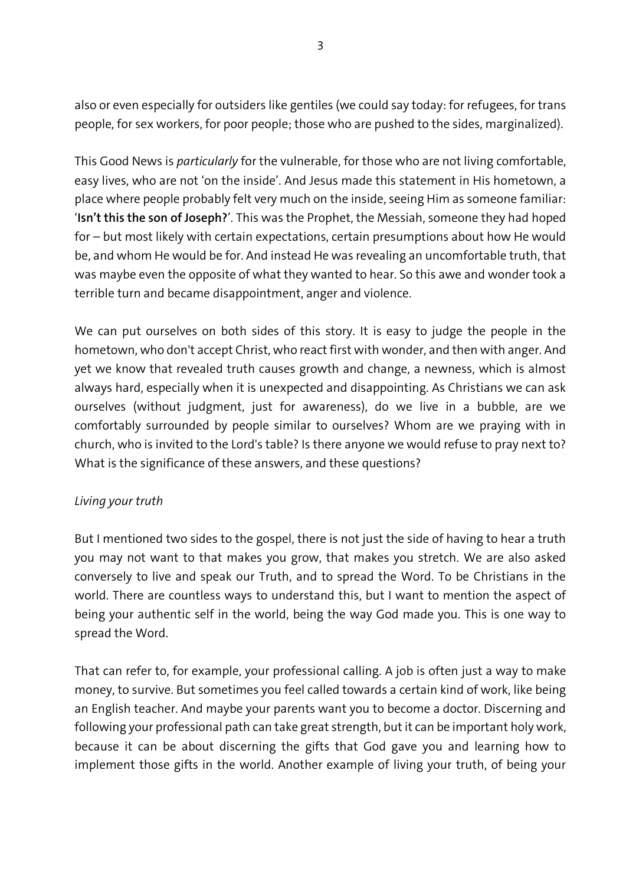also or even especially for outsiders like gentiles (we could say today: for refugees, for trans people, for sex workers, for poor people; those who are pushed to the sides, marginalized).

This Good News is *particularly* for the vulnerable, for those who are not living comfortable, easy lives, who are not 'on the inside'. And Jesus made this statement in His hometown, a place where people probably felt very much on the inside, seeing Him as someone familiar: '**Isn't this the son of Joseph?**'. This was the Prophet, the Messiah, someone they had hoped for – but most likely with certain expectations, certain presumptions about how He would be, and whom He would be for. And instead He was revealing an uncomfortable truth, that was maybe even the opposite of what they wanted to hear. So this awe and wonder took a terrible turn and became disappointment, anger and violence.

We can put ourselves on both sides of this story. It is easy to judge the people in the hometown, who don't accept Christ, who react first with wonder, and then with anger. And yet we know that revealed truth causes growth and change, a newness, which is almost always hard, especially when it is unexpected and disappointing. As Christians we can ask ourselves (without judgment, just for awareness), do we live in a bubble, are we comfortably surrounded by people similar to ourselves? Whom are we praying with in church, who is invited to the Lord's table? Is there anyone we would refuse to pray next to? What is the significance of these answers, and these questions?

### *Living your truth*

But I mentioned two sides to the gospel, there is not just the side of having to hear a truth you may not want to that makes you grow, that makes you stretch. We are also asked conversely to live and speak our Truth, and to spread the Word. To be Christians in the world. There are countless ways to understand this, but I want to mention the aspect of being your authentic self in the world, being the way God made you. This is one way to spread the Word.

That can refer to, for example, your professional calling. A job is often just a way to make money, to survive. But sometimes you feel called towards a certain kind of work, like being an English teacher. And maybe your parents want you to become a doctor. Discerning and following your professional path can take great strength, but it can be important holy work, because it can be about discerning the gifts that God gave you and learning how to implement those gifts in the world. Another example of living your truth, of being your